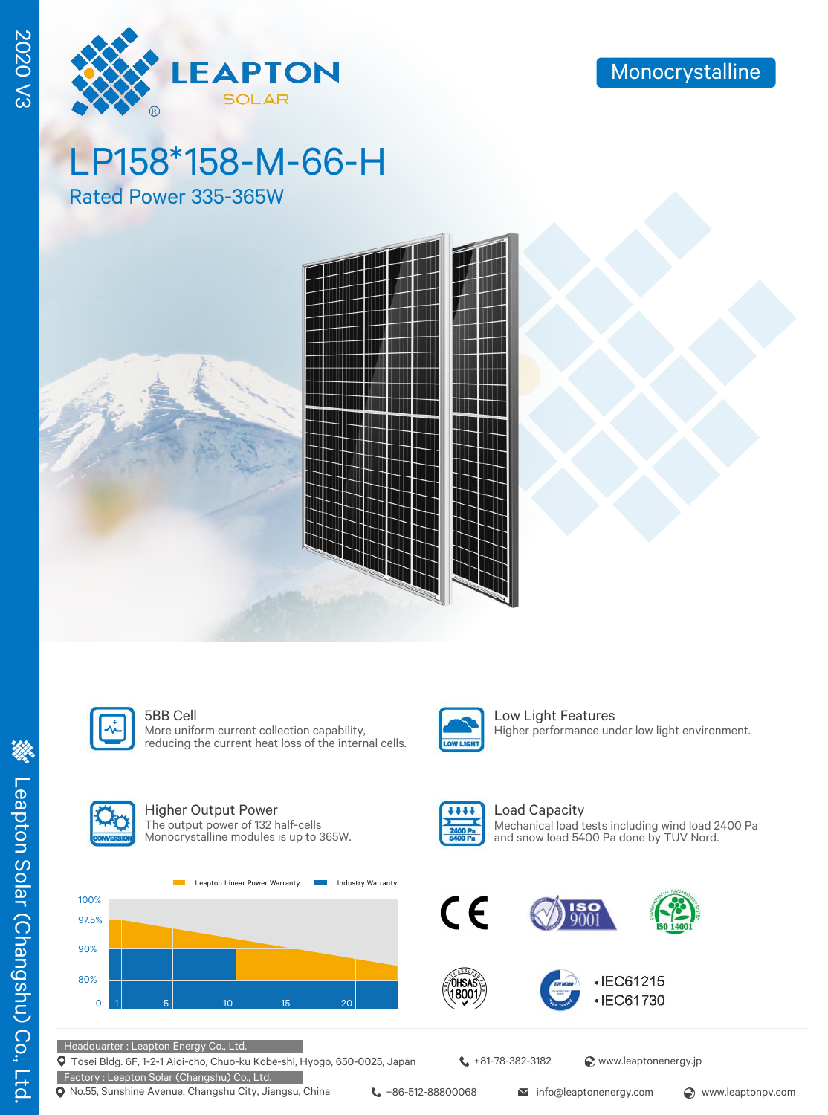

LP158\*158-M-66-H

Rated Power 335-365W





More uniform current collection capability, reducing the current heat loss of the internal cells.



**5BB Cell** Low Light Features Higher performance under low light environment.



### Higher Output Power The output power of 132 half-cells

Monocrystalline modules is up to 365W.





Load Capacity Mechanical load tests including wind load 2400 Pa and snow load 5400 Pa done by TUV Nord.







### Headquarter : Leapton Energy Co., Ltd.

Tosei Bldg. 6F, 1-2-1 Aioi-cho, Chuo-ku Kobe-shi, Hyogo, 650-0025, Japan Factory : Leapton Solar (Changshu) Co., Ltd.

Q No.55, Sunshine Avenue, Changshu City, Jiangsu, China ↓+86-512-88800068 info@leaptonenergy.com 
www.leaptonpv.com

**t** +81-78-382-3182 <br> **a** www.leaptonenergy.jp

2020 V3

**2020 V3**